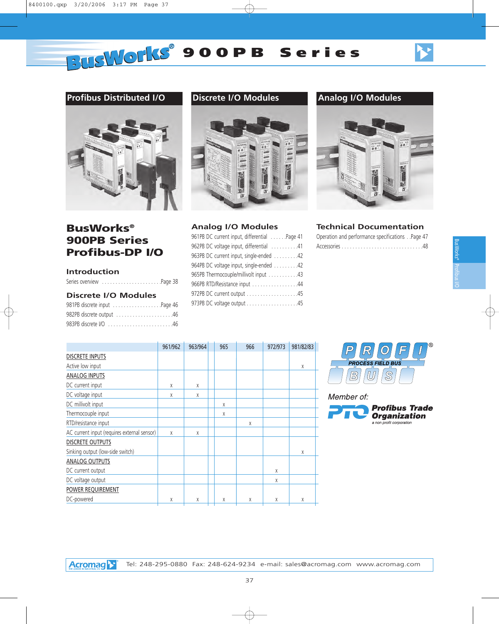Profibus I/O BusWorks®

## **Profibus Distributed I/O**



## **BusWorks® 900PB Series Profibus-DP I/O**

#### **Introduction**

| Series overview Page 38 |  |
|-------------------------|--|

#### **Discrete I/O Modules**

| 981PB discrete input Page 46 |
|------------------------------|
| 982PB discrete output 46     |
|                              |

## **Discrete I/O Modules Analog I/O Modules**



#### **Analog I/O Modules**

| 961PB DC current input, differential Page 41 |
|----------------------------------------------|
| 962PB DC voltage input, differential 41      |
| 963PB DC current input, single-ended 42      |
| 964PB DC voltage input, single-ended 42      |
| 965PB Thermocouple/millivolt input 43        |
| 966PB RTD/Resistance input 44                |
| 972PB DC current output 45                   |
| 973PB DC voltage output 45                   |
|                                              |



### **Technical Documentation**

| Operation and performance specificationsPage 47 |  |
|-------------------------------------------------|--|
|                                                 |  |

|                                             | 961/962 | 963/964 | 965 | 966 | 972/973 | 981/82/83 |  |
|---------------------------------------------|---------|---------|-----|-----|---------|-----------|--|
| <b>DISCRETE INPUTS</b>                      |         |         |     |     |         |           |  |
| Active low input                            |         |         |     |     |         | X         |  |
| <b>ANALOG INPUTS</b>                        |         |         |     |     |         |           |  |
| DC current input                            | X       | X       |     |     |         |           |  |
| DC voltage input                            | X       | X       |     |     |         |           |  |
| DC millivolt input                          |         |         | X   |     |         |           |  |
| Thermocouple input                          |         |         | X   |     |         |           |  |
| RTD/resistance input                        |         |         |     | X   |         |           |  |
| AC current input (requires external sensor) | X       | X       |     |     |         |           |  |
| <b>DISCRETE OUTPUTS</b>                     |         |         |     |     |         |           |  |
| Sinking output (low-side switch)            |         |         |     |     |         | X         |  |
| <b>ANALOG OUTPUTS</b>                       |         |         |     |     |         |           |  |
| DC current output                           |         |         |     |     | X       |           |  |
| DC voltage output                           |         |         |     |     | X       |           |  |
| POWER REQUIREMENT                           |         |         |     |     |         |           |  |
| DC-powered                                  | X       | Χ       | Χ   | X   | X       | Χ         |  |



Member of:

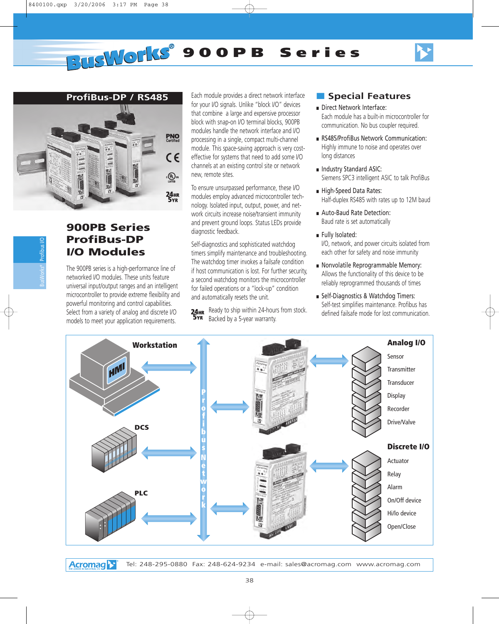



## **900PB Series ProfiBus-DP I/O Modules**

The 900PB series is a high-performance line of networked I/O modules. These units feature universal input/output ranges and an intelligent microcontroller to provide extreme flexibility and powerful monitoring and control capabilities. Select from a variety of analog and discrete I/O models to meet your application requirements.

Each module provides a direct network interface for your I/O signals. Unlike "block I/O" devices that combine a large and expensive processor block with snap-on I/O terminal blocks, 900PB modules handle the network interface and I/O processing in a single, compact multi-channel module. This space-saving approach is very costeffective for systems that need to add some I/O channels at an existing control site or network new, remote sites.

To ensure unsurpassed performance, these I/O modules employ advanced microcontroller technology. Isolated input, output, power, and network circuits increase noise/transient immunity and prevent ground loops. Status LEDs provide diagnostic feedback.

Self-diagnostics and sophisticated watchdog timers simplify maintenance and troubleshooting. The watchdog timer invokes a failsafe condition if host communication is lost. For further security, a second watchdog monitors the microcontroller for failed operations or a "lock-up" condition and automatically resets the unit.

**24HR** Ready to ship within 24-hours from stock. Backed by a 5-year warranty.

## ■ **Special Features**

- Direct Network Interface: Each module has a built-in microcontroller for communication. No bus coupler required.
- RS485/ProfiBus Network Communication: Highly immune to noise and operates over long distances
- Industry Standard ASIC: Siemens SPC3 intelligent ASIC to talk ProfiBus
- High-Speed Data Rates: Half-duplex RS485 with rates up to 12M baud
- Auto-Baud Rate Detection: Baud rate is set automatically
- Fully Isolated:

I/O, network, and power circuits isolated from each other for safety and noise immunity

- Nonvolatile Reprogrammable Memory: Allows the functionality of this device to be reliably reprogrammed thousands of times
- Self-Diagnostics & Watchdog Timers: Self-test simplifies maintenance. Profibus has defined failsafe mode for lost communication.



**Acromag**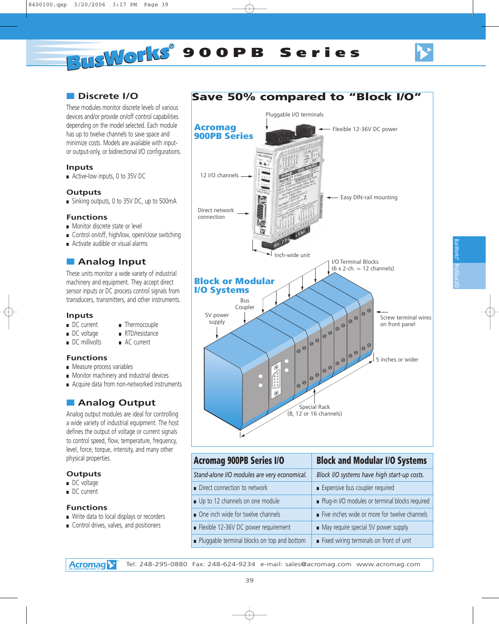## ■ **Discrete I/O**

These modules monitor discrete levels of various devices and/or provide on/off control capabilities depending on the model selected. Each module has up to twelve channels to save space and minimize costs. Models are available with inputor output-only, or bidirectional I/O configurations.

#### **Inputs**

■ Active-low inputs, 0 to 35V DC

#### **Outputs**

■ Sinking outputs, 0 to 35V DC, up to 500mA

#### **Functions**

- Monitor discrete state or level
- Control on/off, high/low, open/close switching
- Activate audible or visual alarms

## ■ **Analog Input**

These units monitor a wide variety of industrial machinery and equipment. They accept direct sensor inputs or DC process control signals from transducers, transmitters, and other instruments.

■ Thermocouple

- **Inputs**<br>**DC** current
- DC voltage RTD/resistance
- DC millivolts AC current

#### **Functions**

- Measure process variables
- Monitor machinery and industrial devices
- Acquire data from non-networked instruments

## ■ **Analog Output**

Analog output modules are ideal for controlling a wide variety of industrial equipment. The host defines the output of voltage or current signals to control speed, flow, temperature, frequency, level, force, torque, intensity, and many other physical properties.

### **Outputs**

- DC voltage
- DC current

#### **Functions**

- Write data to local displays or recorders
- Control drives, valves, and positioners





| 900PB Series I/O                 | <b>Block and Modular I/O Systems</b>            |
|----------------------------------|-------------------------------------------------|
| I/O modules are very economical. | Block I/O systems have high start-up costs.     |
| ection to network                | Expensive bus coupler required                  |
| nannels on one module            | Plug-in I/O modules or terminal blocks required |
| ide for twelve channels          | Five inches wide or more for twelve channels    |
| 36V DC power requirement         | May require special 5V power supply             |
| erminal blocks on top and bottom | Fixed wiring terminals on front of unit         |

**Acromag** Tel: 248-295-0880 Fax: 248-624-9234 e-mail: sales@acromag.com www.acromag.com

**Acromag** *Stand-alone*  $\blacksquare$  Direct connection  $\blacksquare$  Up to 12 ch  $\blacksquare$  One inch w  $\blacksquare$  Flexible 12-■ Pluggable t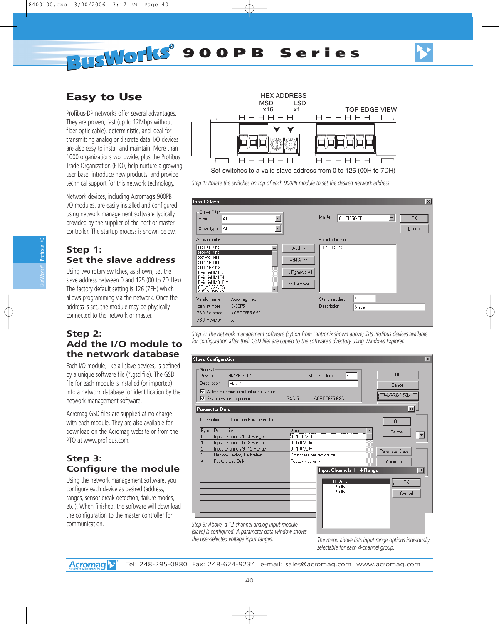## **Easy to Use**

Profibus-DP networks offer several advantages. They are proven, fast (up to 12Mbps without fiber optic cable), deterministic, and ideal for transmitting analog or discrete data. I/O devices are also easy to install and maintain. More than 1000 organizations worldwide, plus the Profibus Trade Organization (PTO), help nurture a growing user base, introduce new products, and provide technical support for this network technology.

Network devices, including Acromag's 900PB I/O modules, are easily installed and configured using network management software typically provided by the supplier of the host or master controller. The startup process is shown below.

## **Step 1: Set the slave address**

Using two rotary switches, as shown, set the slave address between 0 and 125 (00 to 7D Hex). The factory default setting is 126 (7EH) which allows programming via the network. Once the address is set, the module may be physically connected to the network or master.

## **Step 2: Add the I/O module to the network database**

Each I/O module, like all slave devices, is defined by a unique software file (\*.gsd file). The GSD file for each module is installed (or imported) into a network database for identification by the network management software.

Acromag GSD files are supplied at no-charge with each module. They are also available for download on the Acromag website or from the PTO at www.profibus.com.

## **Step 3: Configure the module**

Using the network management software, you configure each device as desired (address, ranges, sensor break detection, failure modes, etc.). When finished, the software will download the configuration to the master controller for communication.



Set switches to a valid slave address from 0 to 125 (00H to 7DH)

*Step 1: Rotate the switches on top of each 900PB module to set the desired network address.*



*Step 2: The network management software (SyCon from Lantronix shown above) lists Profibus devices available for configuration after their GSD files are copied to the software's directory using Windows Explorer.*



*(slave) is configured. A parameter data window shows the user-selected voltage input ranges. The menu above lists input range options individually*

*selectable for each 4-channel group.*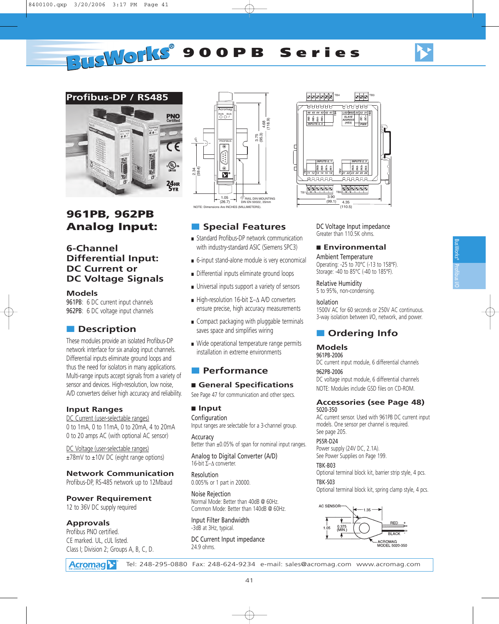# **PUSILOPIES** 900PB Series



## **961PB, 962PB Analog Input:**

## **6-Channel Differential Input: DC Current or DC Voltage Signals**

#### **Models**

961PB: 6 DC current input channels 962PB: 6 DC voltage input channels

## ■ **Description**

These modules provide an isolated Profibus-DP network interface for six analog input channels. Differential inputs eliminate ground loops and thus the need for isolators in many applications. Multi-range inputs accept signals from a variety of sensor and devices. High-resolution, low noise, A/D converters deliver high accuracy and reliability.

#### **Input Ranges**

DC Current (user-selectable ranges) 0 to 1mA, 0 to 11mA, 0 to 20mA, 4 to 20mA 0 to 20 amps AC (with optional AC sensor)

DC Voltage (user-selectable ranges) ±78mV to ±10V DC (eight range options)

#### **Network Communication**

Profibus-DP, RS-485 network up to 12Mbaud

#### **Power Requirement**

12 to 36V DC supply required

#### **Approvals**

Profibus PNO certified. CE marked. UL, cUL listed. Class I; Division 2; Groups A, B, C, D.





■ **Special Features**

- Standard Profibus-DP network communication with industry-standard ASIC (Siemens SPC3)
- 6-input stand-alone module is very economical
- Differential inputs eliminate ground loops
- Universal inputs support a variety of sensors
- High-resolution 16-bit  $\Sigma-\Delta$  A/D converters ensure precise, high accuracy measurements
- Compact packaging with pluggable terminals saves space and simplifies wiring
- Wide operational temperature range permits installation in extreme environments

### ■ **Performance**

#### ■ General Specifications

See Page 47 for communication and other specs.

#### ■ **Input**

Configuration Input ranges are selectable for a 3-channel group.

Accuracy Better than ±0.05% of span for nominal input ranges.

Analog to Digital Converter (A/D) 16-bit  $\Sigma$ -A converter.

Resolution 0.005% or 1 part in 20000.

Noise Rejection Normal Mode: Better than 40dB @ 60Hz. Common Mode: Better than 140dB @ 60Hz.

Input Filter Bandwidth -3dB at 3Hz, typical.

DC Current Input impedance 24.9 ohms.

DC Voltage Input impedance Greater than 110.5K ohms.

## ■ **Environmental**

Ambient Temperature Operating: -25 to 70°C (-13 to 158°F). Storage: -40 to 85°C (-40 to 185°F).

Relative Humidity

### 5 to 95%, non-condensing.

#### Isolation

1500V AC for 60 seconds or 250V AC continuous. 3-way isolation between I/O, network, and power.

## ■ **Ordering Info**

#### **Models**

961PB-2006 DC current input module, 6 differential channels

962PB-2006

DC voltage input module, 6 differential channels NOTE: Modules include GSD files on CD-ROM.

#### **Accessories (see Page 48)** 5020-350

AC current sensor. Used with 961PB DC current input models. One sensor per channel is required. See page 205.

PS5R-D24

Power supply (24V DC, 2.1A). See Power Supplies on Page 199.

TBK-B03

Optional terminal block kit, barrier strip style, 4 pcs. TBK-S03

Optional terminal block kit, spring clamp style, 4 pcs.

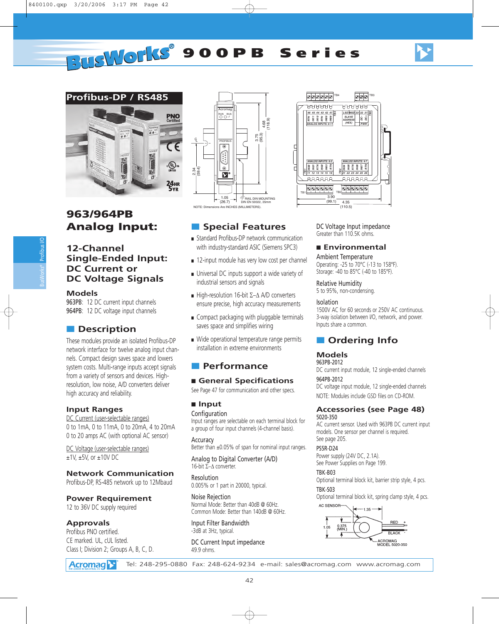# **PUSWOLKS** 900PB Series



## **963/964PB Analog Input:**

### **12-Channel Single-Ended Input: DC Current or DC Voltage Signals**

#### **Models**

963PB: 12 DC current input channels 964PB: 12 DC voltage input channels

## ■ **Description**

These modules provide an isolated Profibus-DP network interface for twelve analog input channels. Compact design saves space and lowers system costs. Multi-range inputs accept signals from a variety of sensors and devices. Highresolution, low noise, A/D converters deliver high accuracy and reliability.

#### **Input Ranges**

DC Current (user-selectable ranges) 0 to 1mA, 0 to 11mA, 0 to 20mA, 4 to 20mA 0 to 20 amps AC (with optional AC sensor)

DC Voltage (user-selectable ranges) ±1V, ±5V, or ±10V DC

#### **Network Communication**

Profibus-DP, RS-485 network up to 12Mbaud

#### **Power Requirement**

12 to 36V DC supply required

#### **Approvals**

Profibus PNO certified. CE marked. UL, cUL listed. Class I; Division 2; Groups A, B, C, D.





■ **Special Features**

- Standard Profibus-DP network communication with industry-standard ASIC (Siemens SPC3)
- 12-input module has very low cost per channel
- Universal DC inputs support a wide variety of industrial sensors and signals
- High-resolution 16-bit  $\Sigma-\Delta$  A/D converters ensure precise, high accuracy measurements
- Compact packaging with pluggable terminals saves space and simplifies wiring
- Wide operational temperature range permits installation in extreme environments

### ■ **Performance**

#### ■ General Specifications

See Page 47 for communication and other specs.

#### ■ **Input**

**Configuration** 

Input ranges are selectable on each terminal block for a group of four input channels (4-channel basis).

**Accuracy** Better than ±0.05% of span for nominal input ranges.

Analog to Digital Converter (A/D) 16-bit  $\Sigma-\Lambda$  converter.

Resolution 0.005% or 1 part in 20000, typical.

Noise Rejection Normal Mode: Better than 40dB @ 60Hz. Common Mode: Better than 140dB @ 60Hz.

Input Filter Bandwidth -3dB at 3Hz, typical.

DC Current Input impedance 49.9 ohms.

DC Voltage Input impedance Greater than 110.5K ohms.

## ■ **Environmental**

Ambient Temperature Operating: -25 to 70°C (-13 to 158°F). Storage: -40 to 85°C (-40 to 185°F).

#### Relative Humidity

5 to 95%, non-condensing.

#### Isolation

1500V AC for 60 seconds or 250V AC continuous. 3-way isolation between I/O, network, and power. Inputs share a common.

## ■ **Ordering Info**

#### **Models**

963PB-2012

DC current input module, 12 single-ended channels 964PB-2012

DC voltage input module, 12 single-ended channels NOTE: Modules include GSD files on CD-ROM.

#### **Accessories (see Page 48)** 5020-350

AC current sensor. Used with 963PB DC current input models. One sensor per channel is required. See page 205.

#### PS5R-D24

Power supply (24V DC, 2.1A). See Power Supplies on Page 199.

#### TBK-B03

Optional terminal block kit, barrier strip style, 4 pcs. TBK-S03

Optional terminal block kit, spring clamp style, 4 pcs.

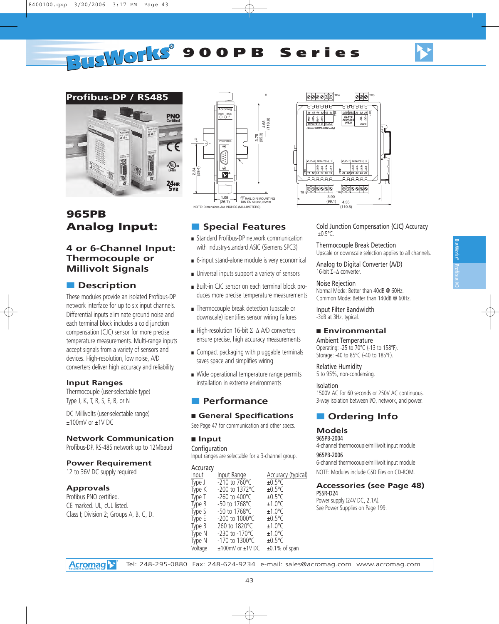# **PUSWOLKS** 900PB Series



## **965PB Analog Input:**

## **4 or 6-Channel Input: Thermocouple or Millivolt Signals**

## ■ **Description**

These modules provide an isolated Profibus-DP network interface for up to six input channels. Differential inputs eliminate ground noise and each terminal block includes a cold junction compensation (CJC) sensor for more precise temperature measurements. Multi-range inputs accept signals from a variety of sensors and devices. High-resolution, low noise, A/D converters deliver high accuracy and reliability.

#### **Input Ranges**

Thermocouple (user-selectable type) Type J, K, T, R, S, E, B, or N

DC Millivolts (user-selectable range) ±100mV or ±1V DC

#### **Network Communication**

Profibus-DP, RS-485 network up to 12Mbaud

#### **Power Requirement**

12 to 36V DC supply required

#### **Approvals**

Profibus PNO certified. CE marked. UL, cUL listed. Class I; Division 2; Groups A, B, C, D.





■ **Special Features**

- Standard Profibus-DP network communication with industry-standard ASIC (Siemens SPC3)
- 6-input stand-alone module is very economical
- Universal inputs support a variety of sensors
- Built-in CJC sensor on each terminal block produces more precise temperature measurements
- Thermocouple break detection (upscale or downscale) identifies sensor wiring failures
- High-resolution 16-bit  $\Sigma-\Delta$  A/D converters ensure precise, high accuracy measurements
- Compact packaging with pluggable terminals saves space and simplifies wiring
- Wide operational temperature range permits installation in extreme environments

#### ■ **Performance**

#### ■ General Specifications

See Page 47 for communication and other specs.

#### ■ **Input**

Configuration

| Input ranges are selectable for a 3-channel group.                                                                     |                                                                                                                                                                                                                                        |                                                                                                                                                                                                                                      |
|------------------------------------------------------------------------------------------------------------------------|----------------------------------------------------------------------------------------------------------------------------------------------------------------------------------------------------------------------------------------|--------------------------------------------------------------------------------------------------------------------------------------------------------------------------------------------------------------------------------------|
| Accuracy<br>Input<br>Type J<br>Type K<br>Type T<br>Type R<br>Type S<br>Type E<br>Type B<br>Type N<br>Type N<br>Voltage | Input Range<br>$-210$ to 760 °C<br>-200 to 1372°C<br>$-260$ to $400^{\circ}$ C<br>-50 to 1768°C<br>$-50$ to 1768 °C<br>-200 to 1000°C<br>260 to 1820°C<br>$-230$ to $-170^{\circ}$ C<br>-170 to 1300°C<br>$\pm 100$ mV or $\pm 1$ V DC | <b>Accuracy (typical)</b><br>$±0.5^{\circ}$ C<br>$±0.5^{\circ}$ C<br>$±0.5^{\circ}$ C<br>$+1.0^{\circ}$ C<br>$+1.0^{\circ}$ C<br>$+0.5^{\circ}$ C<br>$±1.0^{\circ}$ C<br>$±1.0^{\circ}$ C<br>$±0.5^{\circ}$ C<br>$\pm 0.1\%$ of span |
|                                                                                                                        |                                                                                                                                                                                                                                        |                                                                                                                                                                                                                                      |

Cold Junction Compensation (CJC) Accuracy  $±0.5$ °C.

Thermocouple Break Detection Upscale or downscale selection applies to all channels.

Analog to Digital Converter (A/D) 16-bit  $\Sigma-\Delta$  converter.

#### Noise Rejection

Normal Mode: Better than 40dB @ 60Hz. Common Mode: Better than 140dB @ 60Hz.

Input Filter Bandwidth -3dB at 3Hz, typical.

#### ■ **Environmental**

Ambient Temperature Operating: -25 to 70°C (-13 to 158°F). Storage: -40 to 85°C (-40 to 185°F).

Relative Humidity 5 to 95%, non-condensing.

#### Isolation

1500V AC for 60 seconds or 250V AC continuous. 3-way isolation between I/O, network, and power.

## ■ **Ordering Info**

#### **Models**

965PB-2004 4-channel thermocouple/millivolt input module 965PB-2006 6-channel thermocouple/millivolt input module NOTE: Modules include GSD files on CD-ROM.

#### **Accessories (see Page 48)** PS5R-D24

Power supply (24V DC, 2.1A). See Power Supplies on Page 199.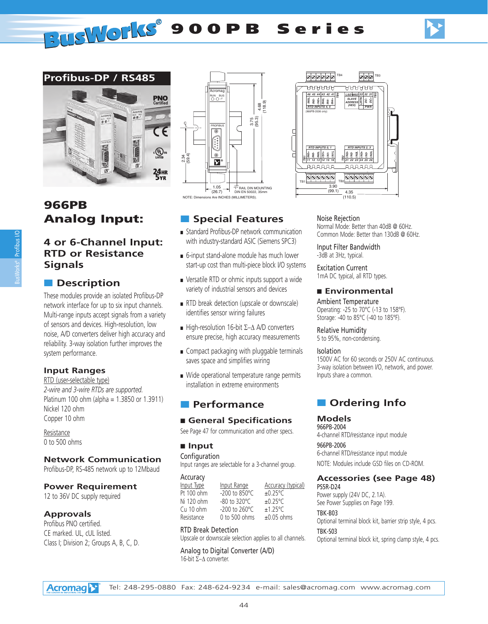

## **966PB Analog Input:**

## Profibus I/O BusWorks®

### **4 or 6-Channel Input: RTD or Resistance Signals**

## ■ **Description**

These modules provide an isolated Profibus-DP network interface for up to six input channels. Multi-range inputs accept signals from a variety of sensors and devices. High-resolution, low noise, A/D converters deliver high accuracy and reliability. 3-way isolation further improves the system performance.

### **Input Ranges**

RTD (user-selectable type) *2-wire and 3-wire RTDs are supported.* Platinum 100 ohm (alpha = 1.3850 or 1.3911) Nickel 120 ohm Copper 10 ohm

Resistance 0 to 500 ohms

### **Network Communication**

Profibus-DP, RS-485 network up to 12Mbaud

#### **Power Requirement**

12 to 36V DC supply required

#### **Approvals**

Profibus PNO certified. CE marked. UL, cUL listed. Class I; Division 2; Groups A, B, C, D.





## ■ **Special Features**

- Standard Profibus-DP network communication with industry-standard ASIC (Siemens SPC3)
- 6-input stand-alone module has much lower start-up cost than multi-piece block I/O systems
- Versatile RTD or ohmic inputs support a wide variety of industrial sensors and devices
- RTD break detection (upscale or downscale) identifies sensor wiring failures
- High-resolution 16-bit  $\Sigma-\Delta$  A/D converters ensure precise, high accuracy measurements
- Compact packaging with pluggable terminals saves space and simplifies wiring
- Wide operational temperature range permits installation in extreme environments

## ■ **Performance**

### ■ General Specifications

See Page 47 for communication and other specs.

#### ■ **Input**

Configuration Input ranges are selectable for a 3-channel group.

Accuracy

| Input Type | Input Range                | <b>Accuracy (typical)</b> |
|------------|----------------------------|---------------------------|
| Pt 100 ohm | $-200$ to 850 $^{\circ}$ C | $\pm 0.25^{\circ}$ C      |
| Ni 120 ohm | $-80$ to 320 $^{\circ}$ C  | $\pm 0.25^{\circ}$ C      |
| Cu 10 ohm  | $-200$ to $260^{\circ}$ C  | $±1.25^{\circ}$ C         |
| Resistance | 0 to 500 ohms              | ±0.05 ohms                |

#### RTD Break Detection

Upscale or downscale selection applies to all channels.

Analog to Digital Converter (A/D) 16-bit  $\Sigma-\Delta$  converter.

Noise Rejection Normal Mode: Better than 40dB @ 60Hz. Common Mode: Better than 130dB @ 60Hz.

Input Filter Bandwidth -3dB at 3Hz, typical.

Excitation Current 1mA DC typical, all RTD types.

#### ■ **Environmental**

Ambient Temperature Operating: -25 to 70°C (-13 to 158°F). Storage: -40 to 85°C (-40 to 185°F).

Relative Humidity 5 to 95%, non-condensing.

#### Isolation

1500V AC for 60 seconds or 250V AC continuous. 3-way isolation between I/O, network, and power. Inputs share a common.

## ■ **Ordering Info**

#### **Models**

966PB-2004 4-channel RTD/resistance input module

966PB-2006 6-channel RTD/resistance input module NOTE: Modules include GSD files on CD-ROM.

#### **Accessories (see Page 48)**

PS5R-D24 Power supply (24V DC, 2.1A). See Power Supplies on Page 199.

#### TBK-B03

Optional terminal block kit, barrier strip style, 4 pcs. TBK-S03

Optional terminal block kit, spring clamp style, 4 pcs.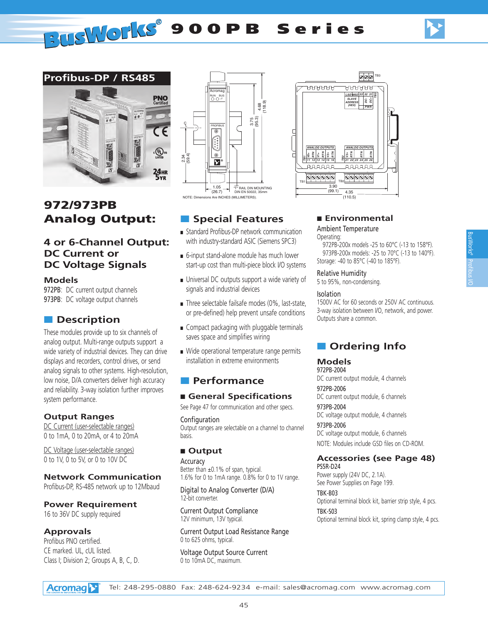**PUSILOPIES** 900PB Series



## **972/973PB Analog Output:**

### **4 or 6-Channel Output: DC Current or DC Voltage Signals**

#### **Models**

972PB: DC current output channels 973PB: DC voltage output channels

## ■ **Description**

These modules provide up to six channels of analog output. Multi-range outputs support a wide variety of industrial devices. They can drive displays and recorders, control drives, or send analog signals to other systems. High-resolution, low noise, D/A converters deliver high accuracy and reliability. 3-way isolation further improves system performance.

#### **Output Ranges**

DC Current (user-selectable ranges) 0 to 1mA, 0 to 20mA, or 4 to 20mA

DC Voltage (user-selectable ranges) 0 to 1V, 0 to 5V, or 0 to 10V DC

**Network Communication**

Profibus-DP, RS-485 network up to 12Mbaud

**Power Requirement**

16 to 36V DC supply required

#### **Approvals**

Profibus PNO certified. CE marked. UL, cUL listed. Class I; Division 2; Groups A, B, C, D.



## ■ **Special Features**

- Standard Profibus-DP network communication with industry-standard ASIC (Siemens SPC3)
- 6-input stand-alone module has much lower start-up cost than multi-piece block I/O systems
- Universal DC outputs support a wide variety of signals and industrial devices
- Three selectable failsafe modes (0%, last-state, or pre-defined) help prevent unsafe conditions
- Compact packaging with pluggable terminals saves space and simplifies wiring
- Wide operational temperature range permits installation in extreme environments

## ■ **Performance**

#### ■ General Specifications

See Page 47 for communication and other specs.

Configuration Output ranges are selectable on a channel to channel basis.

#### ■ **Output**

Accuracy Better than ±0.1% of span, typical. 1.6% for 0 to 1mA range. 0.8% for 0 to 1V range.

Digital to Analog Converter (D/A) 12-bit converter.

Current Output Compliance 12V minimum, 13V typical.

Current Output Load Resistance Range 0 to 625 ohms, typical.

Voltage Output Source Current 0 to 10mA DC, maximum.

#### ■ **Environmental**

#### Ambient Temperature Operating:

972PB-200x models -25 to 60°C (-13 to 158°F). 973PB-200x models: -25 to 70°C (-13 to 140°F). Storage: -40 to 85°C (-40 to 185°F).

*RTN*

*RTN*

*ANALOG OUTPUTS*

 $0000000$ 

*RTN V3+*

TB3

*TB3*

*DC- 32 DC+ LSD MSD 33 31 PWR*

000

*SLAVE ADDRESS (HEX)*

**AAAAAA** 

#### Relative Humidity

5 to 95%, non-condensing.

#### Isolation

*RTN V2+ TB2*

*ANALOG OUTPUTS* 

᠊ᡉᠣᠣᠣᠣ

*RTN V0+*

TB1

*TB1 V1+ RTN*

*11 12 14 15 22 23 25 26*

*13 16 21 24*

TB2

 $3.90$  $(99.1)$ 

4.35  $(110.5)$ 

1500V AC for 60 seconds or 250V AC continuous. 3-way isolation between I/O, network, and power. Outputs share a common.

## ■ **Ordering Info**

#### **Models**

972PB-2004 DC current output module, 4 channels

972PB-2006 DC current output module, 6 channels

973PB-2004 DC voltage output module, 4 channels

973PB-2006 DC voltage output module, 6 channels NOTE: Modules include GSD files on CD-ROM.

### **Accessories (see Page 48)**

PS5R-D24 Power supply (24V DC, 2.1A). See Power Supplies on Page 199.

TBK-B03 Optional terminal block kit, barrier strip style, 4 pcs. TBK-S03

Optional terminal block kit, spring clamp style, 4 pcs.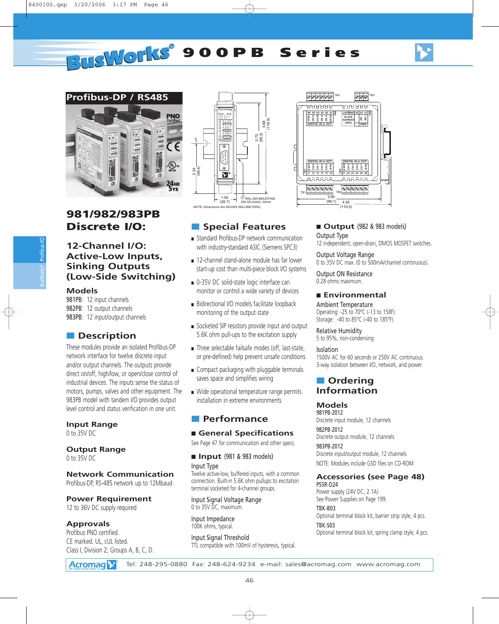

## **981/982/983PB Discrete I/O:**

## **12-Channel I/O: Active-Low Inputs, Sinking Outputs (Low-Side Switching)**

#### **Models**

981PB: 12 input channels 982PB: 12 output channels 983PB: 12 input/output channels

## ■ **Description**

These modules provide an isolated Profibus-DP network interface for twelve discrete input and/or output channels. The outputs provide direct on/off, high/low, or open/close control of industrial devices. The inputs sense the status of motors, pumps, valves and other equipment. The 983PB model with tandem I/O provides output level control and status verification in one unit.

### **Input Range**

0 to 35V DC

## **Output Range**

0 to 35V DC

## **Network Communication**

Profibus-DP, RS-485 network up to 12Mbaud

## **Power Requirement**

12 to 36V DC supply required

## **Approvals**

Profibus PNO certified. CE marked. UL, cUL listed. Class I; Division 2; Groups A, B, C, D.



#### 000000 000 TB4 TB3 **AAAAAA AAAAAA** *TB4 TB3 EXC1 46 CH 0 45 44 41 CH 2 43 CH3* **b**  $\frac{1}{2}$  *CH3* **b** *LSD MSD 33 31 DC- 32 DC+ SLAVE RTN CH11 CH 9 CH 8 CH10 EXC3 ADDRESS PWR (HEX) DIGITAL IN or OUT DIGITAL IN or OUT DIGITAL IN or OUT EXC2 CH 1 RTN CH 4 CH 5 CH 7 RTN CH 6* ц *TB1 TB2 11 12 14 15 22 23 25 26 13 16 21 24* **AAAAAA** TB1 TB2  $3.90$  $(99.1)$ 4.35  $(110.5)$

## ■ **Special Features**

- Standard Profibus-DP network communication with industry-standard ASIC (Siemens SPC3)
- 12-channel stand-alone module has far lower start-up cost than multi-piece block I/O systems
- 0-35V DC solid-state logic interface can monitor or control a wide variety of devices
- Bidirectional I/O models facilitate loopback monitoring of the output state
- Socketed SIP resistors provide input and output 5.6K ohm pull-ups to the excitation supply
- Three selectable failsafe modes (off, last-state, or pre-defined) help prevent unsafe conditions
- Compact packaging with pluggable terminals saves space and simplifies wiring
- Wide operational temperature range permits installation in extreme environments

## ■ **Performance**

#### ■ General Specifications

See Page 47 for communication and other specs.

#### ■ **Input** (981 & 983 models)

Input Type Twelve active-low, buffered inputs, with a common connection. Built-in 5.6K ohm pullups to excitation terminal socketed for 4-channel groups.

Input Signal Voltage Range 0 to 35V DC, maximum.

Input Impedance 100K ohms, typical.

Input Signal Threshold TTL compatible with 100mV of hysteresis, typical.

## ■ **Output** (982 & 983 models)

Output Type 12 independent, open-drain, DMOS MOSFET switches.

Output Voltage Range 0 to 35V DC max. (0 to 500mA/channel continuous).

Output ON Resistance 0.28 ohms maximum.

#### ■ **Environmental**

Ambient Temperature Operating: -25 to 70°C (-13 to 158F). Storage: -40 to 85°C (-40 to 185°F).

Relative Humidity 5 to 95%, non-condensing.

#### Isolation

1500V AC for 60 seconds or 250V AC continuous. 3-way isolation between I/O, network, and power.

### ■ **Ordering Information**

#### **Models**

981PB-2012 Discrete input module, 12 channels 982PB-2012 Discrete output module, 12 channels

983PB-2012 Discrete input/output module, 12 channels

NOTE: Modules include GSD files on CD-ROM.

## **Accessories (see Page 48)**

PS5R-D24 Power supply (24V DC, 2.1A). See Power Supplies on Page 199.

#### TBK-B03

Optional terminal block kit, barrier strip style, 4 pcs. TBK-S03

Optional terminal block kit, spring clamp style, 4 pcs.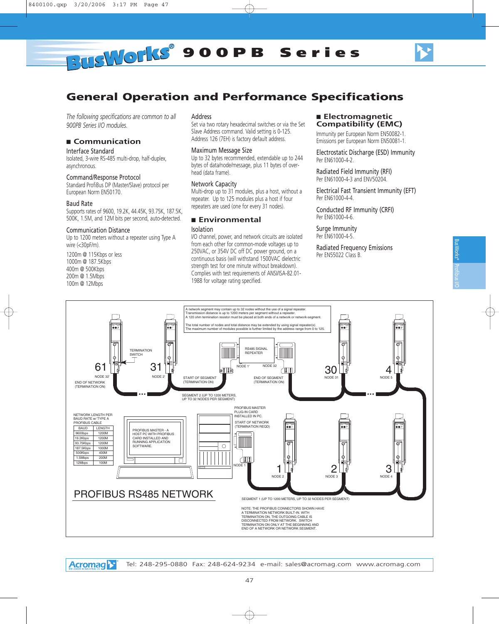

## **General Operation and Performance Specifications**

*The following specifications are common to all 900PB Series I/O modules.*

#### ■ **Communication**

#### Interface Standard

Isolated, 3-wire RS-485 multi-drop, half-duplex, asynchronous.

#### Command/Response Protocol

Standard ProfiBus DP (Master/Slave) protocol per European Norm EN50170.

#### Baud Rate

Supports rates of 9600, 19.2K, 44.45K, 93.75K, 187.5K, 500K, 1.5M, and 12M bits per second, auto-detected.

#### Communication Distance

Up to 1200 meters without a repeater using Type A wire (<30pF/m).

1200m @ 115Kbps or less 1000m @ 187.5Kbps 400m @ 500Kbps 200m @ 1.5Mbps 100m @ 12Mbps

#### Address

Set via two rotary hexadecimal switches or via the Set Slave Address command. Valid setting is 0-125. Address 126 (7EH) is factory default address.

#### Maximum Message Size

Up to 32 bytes recommended, extendable up to 244 bytes of data/node/message, plus 11 bytes of overhead (data frame).

#### Network Capacity

Multi-drop up to 31 modules, plus a host, without a repeater. Up to 125 modules plus a host if four repeaters are used (one for every 31 nodes).

#### ■ **Environmental**

#### Isolation

I/O channel, power, and network circuits are isolated from each other for common-mode voltages up to 250VAC, or 354V DC off DC power ground, on a continuous basis (will withstand 1500VAC dielectric strength test for one minute without breakdown). Complies with test requirements of ANSI/ISA-82.01- 1988 for voltage rating specified.

#### ■ **Electromagnetic Compatibility (EMC)**

Immunity per European Norm EN50082-1. Emissions per European Norm EN50081-1.

Electrostatic Discharge (ESD) Immunity Per EN61000-4-2.

Radiated Field Immunity (RFI) Per EN61000-4-3 and ENV50204.

Electrical Fast Transient Immunity (EFT) Per EN61000-4-4.

Conducted RF Immunity (CRFI) Per EN61000-4-6.

Surge Immunity Per EN61000-4-5.

Radiated Frequency Emissions Per EN55022 Class B.